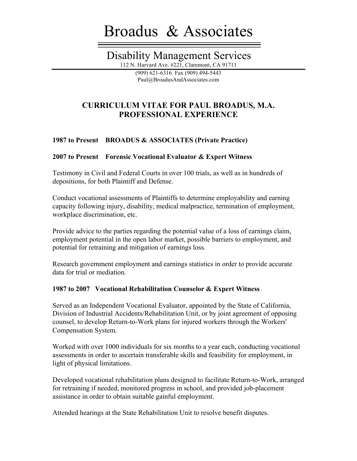# Broadus & Associates

# Disability Management Services

112 N. Harvard Ave. #221, Claremont, CA 91711 (909) 621-6316 Fax (909) 494-5443

Paul@BroadusAndAssociates.com

# **CURRICULUM VITAE FOR PAUL BROADUS, M.A. PROFESSIONAL EXPERIENCE**

# **1987 to Present BROADUS & ASSOCIATES (Private Practice)**

# **2007 to Present Forensic Vocational Evaluator & Expert Witness**

Testimony in Civil and Federal Courts in over 100 trials, as well as in hundreds of depositions, for both Plaintiff and Defense.

Conduct vocational assessments of Plaintiffs to determine employability and earning capacity following injury, disability, medical malpractice, termination of employment, workplace discrimination, etc.

Provide advice to the parties regarding the potential value of a loss of earnings claim, employment potential in the open labor market, possible barriers to employment, and potential for retraining and mitigation of earnings loss.

Research government employment and earnings statistics in order to provide accurate data for trial or mediation.

#### **1987 to 2007 Vocational Rehabilitation Counselor & Expert Witness**

Served as an Independent Vocational Evaluator, appointed by the State of California, Division of Industrial Accidents/Rehabilitation Unit, or by joint agreement of opposing counsel, to develop Return-to-Work plans for injured workers through the Workers' Compensation System.

Worked with over 1000 individuals for six months to a year each, conducting vocational assessments in order to ascertain transferable skills and feasibility for employment, in light of physical limitations.

Developed vocational rehabilitation plans designed to facilitate Return-to-Work, arranged for retraining if needed, monitored progress in school, and provided job-placement assistance in order to obtain suitable gainful employment.

Attended hearings at the State Rehabilitation Unit to resolve benefit disputes.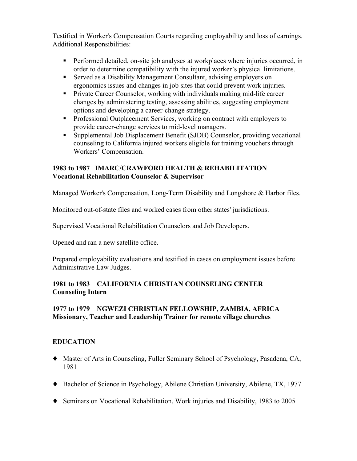Testified in Worker's Compensation Courts regarding employability and loss of earnings. Additional Responsibilities:

- Performed detailed, on-site job analyses at workplaces where injuries occurred, in order to determine compatibility with the injured worker's physical limitations.
- Served as a Disability Management Consultant, advising employers on ergonomics issues and changes in job sites that could prevent work injuries.
- Private Career Counselor, working with individuals making mid-life career changes by administering testing, assessing abilities, suggesting employment options and developing a career-change strategy.
- Professional Outplacement Services, working on contract with employers to provide career-change services to mid-level managers.
- Supplemental Job Displacement Benefit (SJDB) Counselor, providing vocational counseling to California injured workers eligible for training vouchers through Workers' Compensation.

#### **1983 to 1987 IMARC/CRAWFORD HEALTH & REHABILITATION Vocational Rehabilitation Counselor & Supervisor**

Managed Worker's Compensation, Long-Term Disability and Longshore & Harbor files.

Monitored out-of-state files and worked cases from other states' jurisdictions.

Supervised Vocational Rehabilitation Counselors and Job Developers.

Opened and ran a new satellite office.

Prepared employability evaluations and testified in cases on employment issues before Administrative Law Judges.

# **1981 to 1983 CALIFORNIA CHRISTIAN COUNSELING CENTER Counseling Intern**

# **1977 to 1979 NGWEZI CHRISTIAN FELLOWSHIP, ZAMBIA, AFRICA Missionary, Teacher and Leadership Trainer for remote village churches**

# **EDUCATION**

- ♦ Master of Arts in Counseling, Fuller Seminary School of Psychology, Pasadena, CA, 1981
- ♦ Bachelor of Science in Psychology, Abilene Christian University, Abilene, TX, 1977
- ♦ Seminars on Vocational Rehabilitation, Work injuries and Disability, 1983 to 2005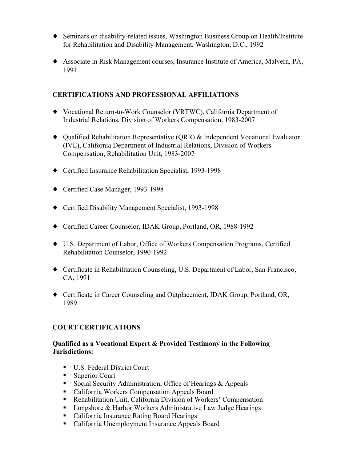- ♦ Seminars on disability-related issues, Washington Business Group on Health/Institute for Rehabilitation and Disability Management, Washington, D.C., 1992
- ♦ Associate in Risk Management courses, Insurance Institute of America, Malvern, PA, 1991

## **CERTIFICATIONS AND PROFESSIONAL AFFILIATIONS**

- ♦ Vocational Return-to-Work Counselor (VRTWC), California Department of Industrial Relations, Division of Workers Compensation, 1983-2007
- ♦ Qualified Rehabilitation Representative (QRR) & Independent Vocational Evaluator (IVE), California Department of Industrial Relations, Division of Workers Compensation, Rehabilitation Unit, 1983-2007
- ♦ Certified Insurance Rehabilitation Specialist, 1993-1998
- ♦ Certified Case Manager, 1993-1998
- ♦ Certified Disability Management Specialist, 1993-1998
- ♦ Certified Career Counselor, IDAK Group, Portland, OR, 1988-1992
- ♦ U.S. Department of Labor, Office of Workers Compensation Programs, Certified Rehabilitation Counselor, 1990-1992
- ♦ Certificate in Rehabilitation Counseling, U.S. Department of Labor, San Francisco, CA, 1991
- ♦ Certificate in Career Counseling and Outplacement, IDAK Group, Portland, OR, 1989

#### **COURT CERTIFICATIONS**

#### **Qualified as a Vocational Expert & Provided Testimony in the Following Jurisdictions:**

- U.S. Federal District Court
- Superior Court
- Social Security Administration, Office of Hearings & Appeals
- California Workers Compensation Appeals Board
- Rehabilitation Unit, California Division of Workers' Compensation
- Longshore & Harbor Workers Administrative Law Judge Hearings
- California Insurance Rating Board Hearings
- California Unemployment Insurance Appeals Board